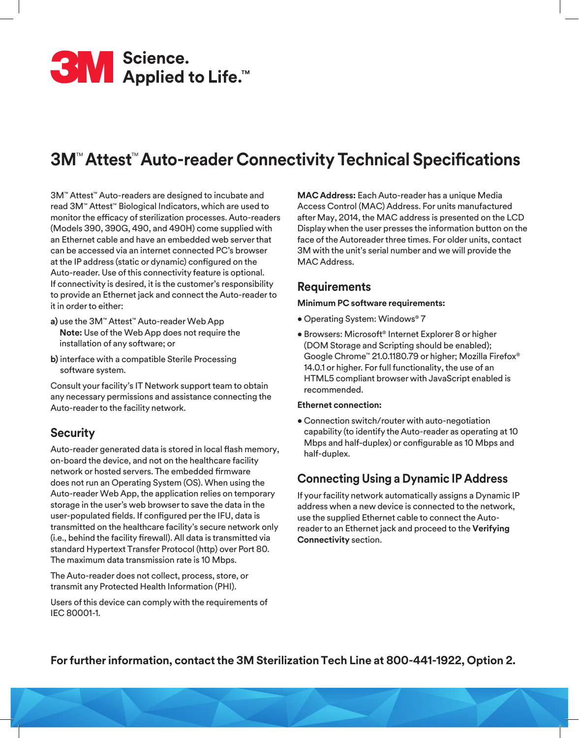

# **3M**™ **Attest**™**Auto-reader Connectivity Technical Specifications**

3M™ Attest™ Auto-readers are designed to incubate and read 3M™ Attest™ Biological Indicators, which are used to monitor the efficacy of sterilization processes. Auto-readers (Models 390, 390G, 490, and 490H) come supplied with an Ethernet cable and have an embedded web server that can be accessed via an internet connected PC's browser at the IP address (static or dynamic) configured on the Auto-reader. Use of this connectivity feature is optional. If connectivity is desired, it is the customer's responsibility to provide an Ethernet jack and connect the Auto-reader to it in order to either:

- **a)** use the 3M™ Attest™ Auto-reader Web App **Note:** Use of the Web App does not require the installation of any software; or
- **b)** interface with a compatible Sterile Processing software system.

Consult your facility's IT Network support team to obtain any necessary permissions and assistance connecting the Auto-reader to the facility network.

### **Security**

Auto-reader generated data is stored in local flash memory, on-board the device, and not on the healthcare facility network or hosted servers. The embedded firmware does not run an Operating System (OS). When using the Auto-reader Web App, the application relies on temporary storage in the user's web browser to save the data in the user-populated fields. If configured per the IFU, data is transmitted on the healthcare facility's secure network only (i.e., behind the facility firewall). All data is transmitted via standard Hypertext Transfer Protocol (http) over Port 80. The maximum data transmission rate is 10 Mbps.

 The Auto-reader does not collect, process, store, or transmit any Protected Health Information (PHI).

Users of this device can comply with the requirements of IEC 80001-1.

**MAC Address:** Each Auto-reader has a unique Media Access Control (MAC) Address. For units manufactured after May, 2014, the MAC address is presented on the LCD Display when the user presses the information button on the face of the Autoreader three times. For older units, contact 3M with the unit's serial number and we will provide the MAC Address.

### **Requirements**

#### **Minimum PC software requirements:**

- Operating System: Windows® 7
- Browsers: Microsoft® Internet Explorer 8 or higher (DOM Storage and Scripting should be enabled); Google Chrome™ 21.0.1180.79 or higher; Mozilla Firefox® 14.0.1 or higher. For full functionality, the use of an HTML5 compliant browser with JavaScript enabled is recommended.

#### **Ethernet connection:**

• Connection switch/router with auto-negotiation capability (to identify the Auto-reader as operating at 10 Mbps and half-duplex) or configurable as 10 Mbps and half-duplex.

### **Connecting Using a Dynamic IP Address**

If your facility network automatically assigns a Dynamic IP address when a new device is connected to the network, use the supplied Ethernet cable to connect the Autoreader to an Ethernet jack and proceed to the **Verifying Connectivity** section.

**For further information, contact the 3M Sterilization Tech Line at 800-441-1922, Option 2.**